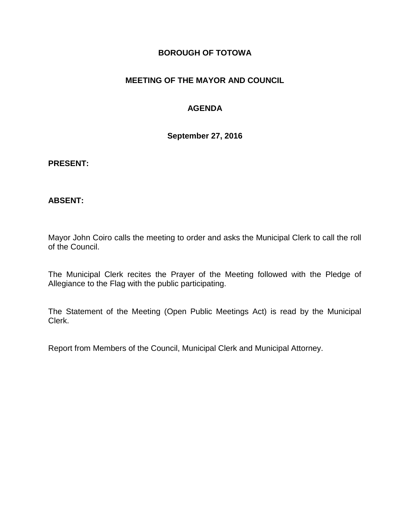### **BOROUGH OF TOTOWA**

# **MEETING OF THE MAYOR AND COUNCIL**

# **AGENDA**

**September 27, 2016**

#### **PRESENT:**

### **ABSENT:**

Mayor John Coiro calls the meeting to order and asks the Municipal Clerk to call the roll of the Council.

The Municipal Clerk recites the Prayer of the Meeting followed with the Pledge of Allegiance to the Flag with the public participating.

The Statement of the Meeting (Open Public Meetings Act) is read by the Municipal Clerk.

Report from Members of the Council, Municipal Clerk and Municipal Attorney.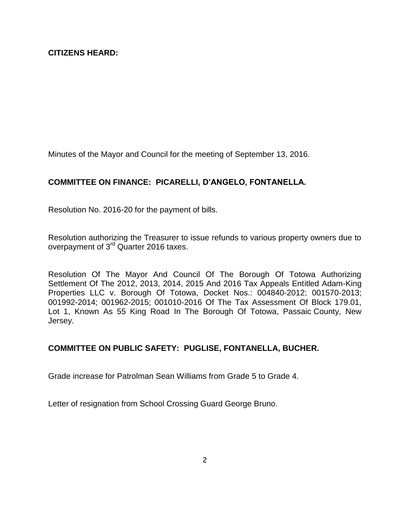Minutes of the Mayor and Council for the meeting of September 13, 2016.

# **COMMITTEE ON FINANCE: PICARELLI, D'ANGELO, FONTANELLA.**

Resolution No. 2016-20 for the payment of bills.

Resolution authorizing the Treasurer to issue refunds to various property owners due to overpayment of 3<sup>rd</sup> Quarter 2016 taxes.

Resolution Of The Mayor And Council Of The Borough Of Totowa Authorizing Settlement Of The 2012, 2013, 2014, 2015 And 2016 Tax Appeals Entitled Adam-King Properties LLC v. Borough Of Totowa, Docket Nos.: 004840-2012; 001570-2013; 001992-2014; 001962-2015; 001010-2016 Of The Tax Assessment Of Block 179.01, Lot 1, Known As 55 King Road In The Borough Of Totowa, Passaic County, New Jersey.

# **COMMITTEE ON PUBLIC SAFETY: PUGLISE, FONTANELLA, BUCHER.**

Grade increase for Patrolman Sean Williams from Grade 5 to Grade 4.

Letter of resignation from School Crossing Guard George Bruno.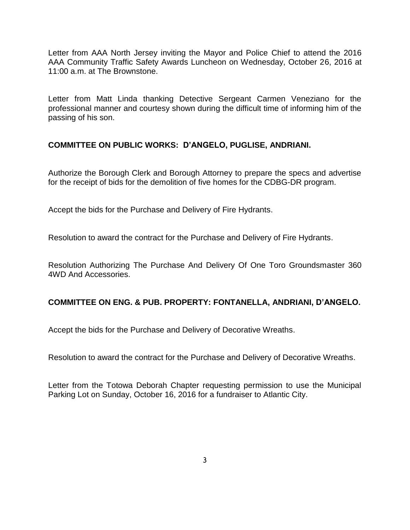Letter from AAA North Jersey inviting the Mayor and Police Chief to attend the 2016 AAA Community Traffic Safety Awards Luncheon on Wednesday, October 26, 2016 at 11:00 a.m. at The Brownstone.

Letter from Matt Linda thanking Detective Sergeant Carmen Veneziano for the professional manner and courtesy shown during the difficult time of informing him of the passing of his son.

### **COMMITTEE ON PUBLIC WORKS: D'ANGELO, PUGLISE, ANDRIANI.**

Authorize the Borough Clerk and Borough Attorney to prepare the specs and advertise for the receipt of bids for the demolition of five homes for the CDBG-DR program.

Accept the bids for the Purchase and Delivery of Fire Hydrants.

Resolution to award the contract for the Purchase and Delivery of Fire Hydrants.

Resolution Authorizing The Purchase And Delivery Of One Toro Groundsmaster 360 4WD And Accessories.

### **COMMITTEE ON ENG. & PUB. PROPERTY: FONTANELLA, ANDRIANI, D'ANGELO.**

Accept the bids for the Purchase and Delivery of Decorative Wreaths.

Resolution to award the contract for the Purchase and Delivery of Decorative Wreaths.

Letter from the Totowa Deborah Chapter requesting permission to use the Municipal Parking Lot on Sunday, October 16, 2016 for a fundraiser to Atlantic City.